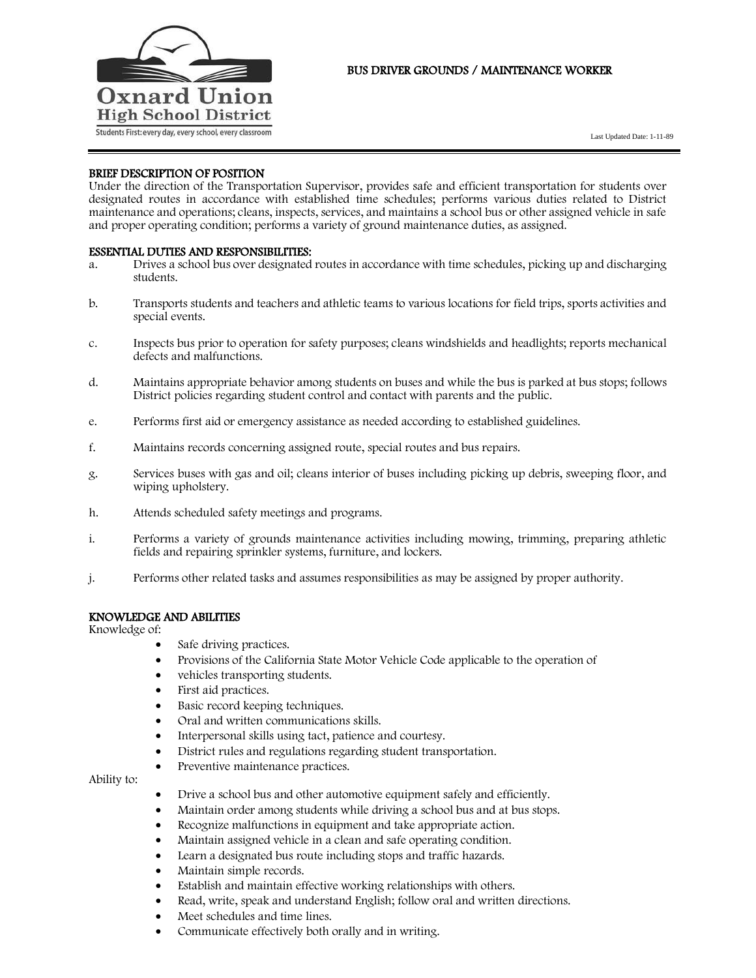

# BUS DRIVER GROUNDS / MAINTENANCE WORKER

Last Updated Date: 1-11-89

## BRIEF DESCRIPTION OF POSITION

Under the direction of the Transportation Supervisor, provides safe and efficient transportation for students over designated routes in accordance with established time schedules; performs various duties related to District maintenance and operations; cleans, inspects, services, and maintains a school bus or other assigned vehicle in safe and proper operating condition; performs a variety of ground maintenance duties, as assigned.

## ESSENTIAL DUTIES AND RESPONSIBILITIES:

- a. Drives a school bus over designated routes in accordance with time schedules, picking up and discharging students.
- b. Transports students and teachers and athletic teams to various locations for field trips, sports activities and special events.
- c. Inspects bus prior to operation for safety purposes; cleans windshields and headlights; reports mechanical defects and malfunctions.
- d. Maintains appropriate behavior among students on buses and while the bus is parked at bus stops; follows District policies regarding student control and contact with parents and the public.
- e. Performs first aid or emergency assistance as needed according to established guidelines.
- f. Maintains records concerning assigned route, special routes and bus repairs.
- g. Services buses with gas and oil; cleans interior of buses including picking up debris, sweeping floor, and wiping upholstery.
- h. Attends scheduled safety meetings and programs.
- i. Performs a variety of grounds maintenance activities including mowing, trimming, preparing athletic fields and repairing sprinkler systems, furniture, and lockers.
- j. Performs other related tasks and assumes responsibilities as may be assigned by proper authority.

## KNOWLEDGE AND ABILITIES

Knowledge of:

- Safe driving practices.
- Provisions of the California State Motor Vehicle Code applicable to the operation of
- vehicles transporting students.
- First aid practices.
- Basic record keeping techniques.
- Oral and written communications skills.
- Interpersonal skills using tact, patience and courtesy.
- District rules and regulations regarding student transportation.
- Preventive maintenance practices.

### Ability to:

- Drive a school bus and other automotive equipment safely and efficiently.
- Maintain order among students while driving a school bus and at bus stops.
- Recognize malfunctions in equipment and take appropriate action.
- Maintain assigned vehicle in a clean and safe operating condition.
- Learn a designated bus route including stops and traffic hazards.
- Maintain simple records.
- Establish and maintain effective working relationships with others.
- Read, write, speak and understand English; follow oral and written directions.
- Meet schedules and time lines.
- Communicate effectively both orally and in writing.